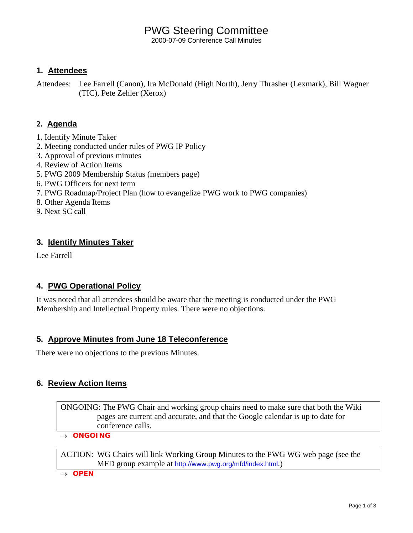# PWG Steering Committee

2000-07-09 Conference Call Minutes

## **1. Attendees**

Attendees: Lee Farrell (Canon), Ira McDonald (High North), Jerry Thrasher (Lexmark), Bill Wagner (TIC), Pete Zehler (Xerox)

# **2. Agenda**

- 1. Identify Minute Taker
- 2. Meeting conducted under rules of PWG IP Policy
- 3. Approval of previous minutes
- 4. Review of Action Items
- 5. PWG 2009 Membership Status (members page)
- 6. PWG Officers for next term
- 7. PWG Roadmap/Project Plan (how to evangelize PWG work to PWG companies)
- 8. Other Agenda Items
- 9. Next SC call

## **3. Identify Minutes Taker**

Lee Farrell

# **4. PWG Operational Policy**

It was noted that all attendees should be aware that the meeting is conducted under the PWG Membership and Intellectual Property rules. There were no objections.

## **5. Approve Minutes from June 18 Teleconference**

There were no objections to the previous Minutes.

## **6. Review Action Items**

ONGOING: The PWG Chair and working group chairs need to make sure that both the Wiki pages are current and accurate, and that the Google calendar is up to date for conference calls.

→ *ONGOING* 

ACTION: WG Chairs will link Working Group Minutes to the PWG WG web page (see the MFD group example at <http://www.pwg.org/mfd/index.html>.)

→ *OPEN*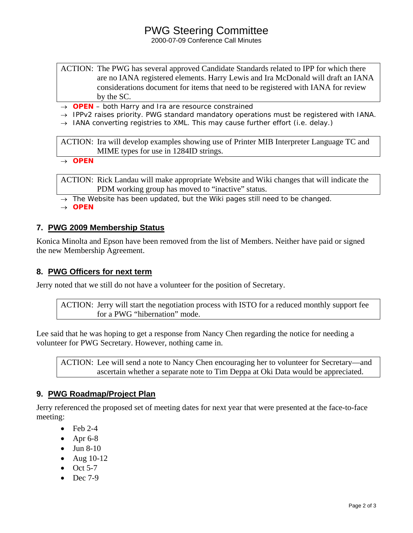# PWG Steering Committee

2000-07-09 Conference Call Minutes

ACTION: The PWG has several approved Candidate Standards related to IPP for which there are no IANA registered elements. Harry Lewis and Ira McDonald will draft an IANA considerations document for items that need to be registered with IANA for review by the SC.

- → *OPEN both Harry and Ira are resource constrained*
- → *IPPv2 raises priority. PWG standard mandatory operations must be registered with IANA.*
- → *IANA converting registries to XML. This may cause further effort (i.e. delay.)*

ACTION: Ira will develop examples showing use of Printer MIB Interpreter Language TC and MIME types for use in 1284ID strings.

→ *OPEN* 

ACTION: Rick Landau will make appropriate Website and Wiki changes that will indicate the PDM working group has moved to "inactive" status.

→ *The Website has been updated, but the Wiki pages still need to be changed.* 

→ *OPEN*

#### **7. PWG 2009 Membership Status**

Konica Minolta and Epson have been removed from the list of Members. Neither have paid or signed the new Membership Agreement.

#### **8. PWG Officers for next term**

Jerry noted that we still do not have a volunteer for the position of Secretary.

ACTION: Jerry will start the negotiation process with ISTO for a reduced monthly support fee for a PWG "hibernation" mode.

Lee said that he was hoping to get a response from Nancy Chen regarding the notice for needing a volunteer for PWG Secretary. However, nothing came in.

ACTION: Lee will send a note to Nancy Chen encouraging her to volunteer for Secretary—and ascertain whether a separate note to Tim Deppa at Oki Data would be appreciated.

## **9. PWG Roadmap/Project Plan**

Jerry referenced the proposed set of meeting dates for next year that were presented at the face-to-face meeting:

- $\bullet$  Feb 2-4
- Apr  $6-8$
- Jun 8-10
- Aug 10-12
- $\bullet$  Oct 5-7
- $\bullet$  Dec 7-9